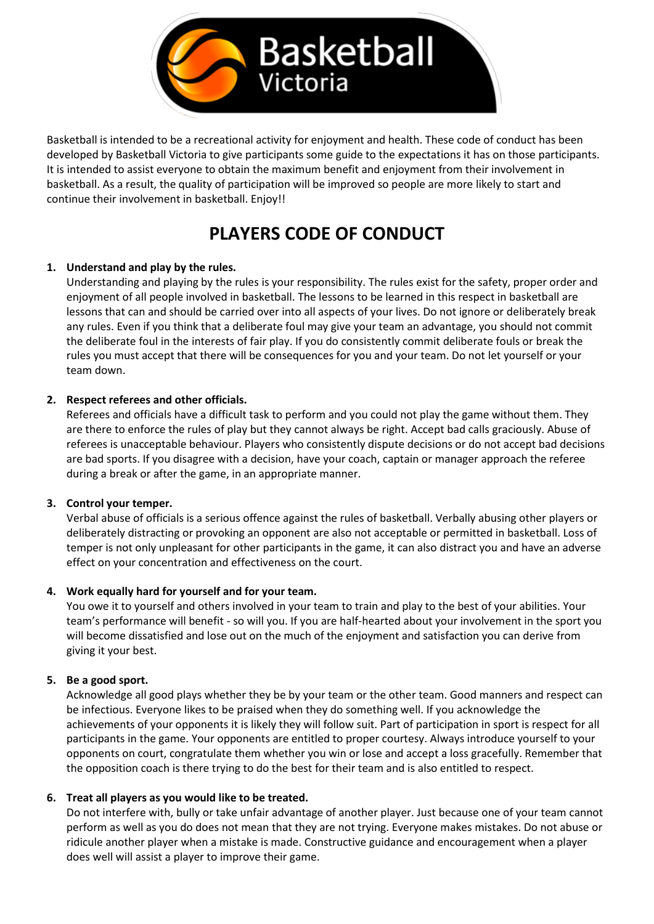

Basketball is intended to be a recreational activity for enjoyment and health. These code of conduct has been developed by Basketball Victoria to give participants some guide to the expectations it has on those participants. It is intended to assist everyone to obtain the maximum benefit and enjoyment from their involvement in basketball. As a result, the quality of participation will be improved so people are more likely to start and continue their involvement in basketball. Enjoy!!

# **PLAYERS CODE OF CONDUCT**

#### **1. Understand and play by the rules.**

Understanding and playing by the rules is your responsibility. The rules exist for the safety, proper order and enjoyment of all people involved in basketball. The lessons to be learned in this respect in basketball are lessons that can and should be carried over into all aspects of your lives. Do not ignore or deliberately break any rules. Even if you think that a deliberate foul may give your team an advantage, you should not commit the deliberate foul in the interests of fair play. If you do consistently commit deliberate fouls or break the rules you must accept that there will be consequences for you and your team. Do not let yourself or your team down.

## **2. Respect referees and other officials.**

Referees and officials have a difficult task to perform and you could not play the game without them. They are there to enforce the rules of play but they cannot always be right. Accept bad calls graciously. Abuse of referees is unacceptable behaviour. Players who consistently dispute decisions or do not accept bad decisions are bad sports. If you disagree with a decision, have your coach, captain or manager approach the referee during a break or after the game, in an appropriate manner.

#### **3. Control your temper.**

Verbal abuse of officials is a serious offence against the rules of basketball. Verbally abusing other players or deliberately distracting or provoking an opponent are also not acceptable or permitted in basketball. Loss of temper is not only unpleasant for other participants in the game, it can also distract you and have an adverse effect on your concentration and effectiveness on the court.

#### **4. Work equally hard for yourself and for your team.**

You owe it to yourself and others involved in your team to train and play to the best of your abilities. Your team's performance will benefit - so will you. If you are half-hearted about your involvement in the sport you will become dissatisfied and lose out on the much of the enjoyment and satisfaction you can derive from giving it your best.

#### **5. Be a good sport.**

Acknowledge all good plays whether they be by your team or the other team. Good manners and respect can be infectious. Everyone likes to be praised when they do something well. If you acknowledge the achievements of your opponents it is likely they will follow suit. Part of participation in sport is respect for all participants in the game. Your opponents are entitled to proper courtesy. Always introduce yourself to your opponents on court, congratulate them whether you win or lose and accept a loss gracefully. Remember that the opposition coach is there trying to do the best for their team and is also entitled to respect.

#### **6. Treat all players as you would like to be treated.**

Do not interfere with, bully or take unfair advantage of another player. Just because one of your team cannot perform as well as you do does not mean that they are not trying. Everyone makes mistakes. Do not abuse or ridicule another player when a mistake is made. Constructive guidance and encouragement when a player does well will assist a player to improve their game.